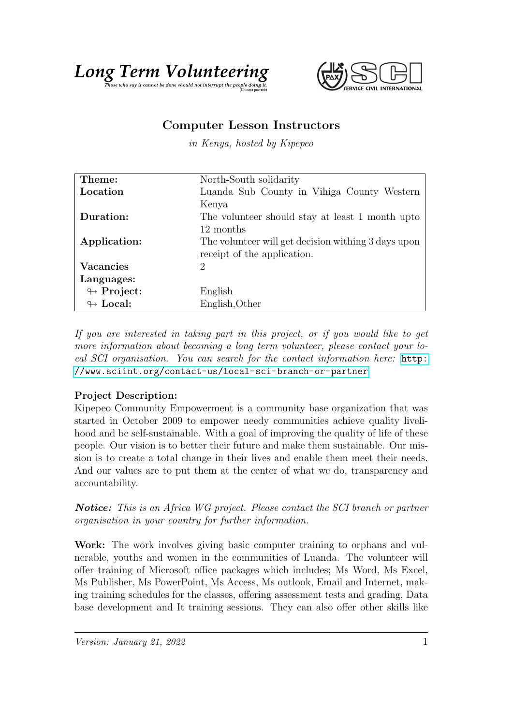



## Computer Lesson Instructors

in Kenya, hosted by Kipepeo

| Theme:                     | North-South solidarity                              |
|----------------------------|-----------------------------------------------------|
| Location                   | Luanda Sub County in Vihiga County Western          |
|                            | Kenya                                               |
| Duration:                  | The volunteer should stay at least 1 month upto     |
|                            | 12 months                                           |
| Application:               | The volunteer will get decision withing 3 days upon |
|                            | receipt of the application.                         |
| <b>Vacancies</b>           | 2                                                   |
| Languages:                 |                                                     |
| $\leftrightarrow$ Project: | English                                             |
| $\leftrightarrow$ Local:   | English, Other                                      |

If you are interested in taking part in this project, or if you would like to get more information about becoming a long term volunteer, please contact your local SCI organisation. You can search for the contact information here: [http:](http://www.sciint.org/contact-us/local-sci-branch-or-partner) [//www.sciint.org/contact-us/local-sci-branch-or-partner](http://www.sciint.org/contact-us/local-sci-branch-or-partner)

## Project Description:

Kipepeo Community Empowerment is a community base organization that was started in October 2009 to empower needy communities achieve quality livelihood and be self-sustainable. With a goal of improving the quality of life of these people. Our vision is to better their future and make them sustainable. Our mission is to create a total change in their lives and enable them meet their needs. And our values are to put them at the center of what we do, transparency and accountability.

**Notice:** This is an Africa WG project. Please contact the SCI branch or partner organisation in your country for further information.

Work: The work involves giving basic computer training to orphans and vulnerable, youths and women in the communities of Luanda. The volunteer will offer training of Microsoft office packages which includes; Ms Word, Ms Excel, Ms Publisher, Ms PowerPoint, Ms Access, Ms outlook, Email and Internet, making training schedules for the classes, offering assessment tests and grading, Data base development and It training sessions. They can also offer other skills like